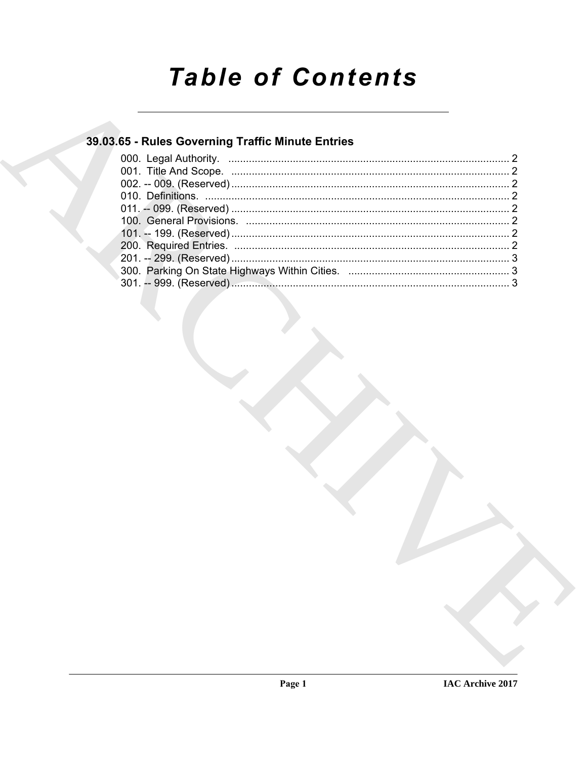# **Table of Contents**

### 39.03.65 - Rules Governing Traffic Minute Entries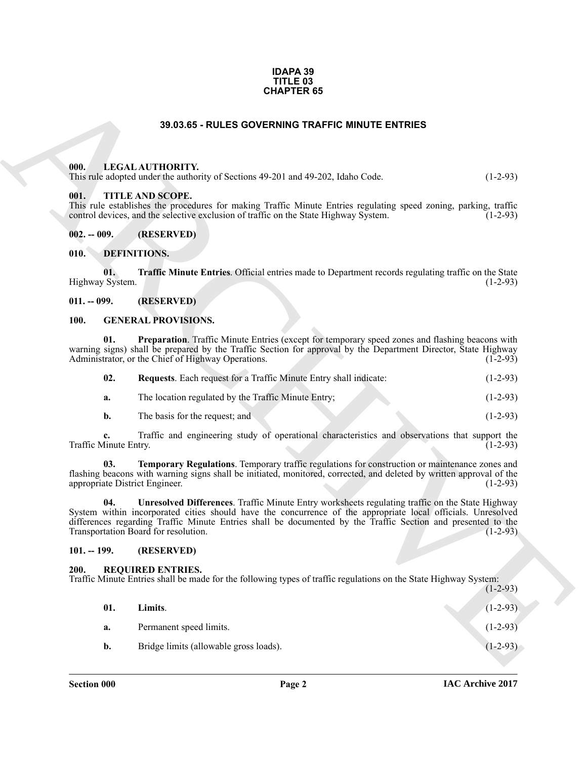#### **IDAPA 39 TITLE 03 CHAPTER 65**

#### **39.03.65 - RULES GOVERNING TRAFFIC MINUTE ENTRIES**

#### <span id="page-1-1"></span><span id="page-1-0"></span>**000. LEGAL AUTHORITY.**

#### <span id="page-1-2"></span>**001. TITLE AND SCOPE.**

#### <span id="page-1-17"></span><span id="page-1-9"></span><span id="page-1-4"></span><span id="page-1-3"></span>**010. DEFINITIONS.**

#### <span id="page-1-5"></span>**011. -- 099. (RESERVED)**

#### <span id="page-1-10"></span><span id="page-1-6"></span>**100. GENERAL PROVISIONS.**

<span id="page-1-12"></span><span id="page-1-11"></span>

| 02. | Requests. Each request for a Traffic Minute Entry shall indicate: |  | $(1-2-93)$ |
|-----|-------------------------------------------------------------------|--|------------|
|-----|-------------------------------------------------------------------|--|------------|

- **a.** The location regulated by the Traffic Minute Entry; (1-2-93)
- <span id="page-1-14"></span><span id="page-1-13"></span>**b.** The basis for the request; and (1-2-93)

#### <span id="page-1-7"></span>**101. -- 199. (RESERVED)**

#### <span id="page-1-16"></span><span id="page-1-15"></span><span id="page-1-8"></span>**200. REQUIRED ENTRIES.**

|                                                                                                                                                                                                                                                                                                                                                                                              | <b>CHAPTER 65</b>                                                                                                                                                                                                                                                       |            |  |  |
|----------------------------------------------------------------------------------------------------------------------------------------------------------------------------------------------------------------------------------------------------------------------------------------------------------------------------------------------------------------------------------------------|-------------------------------------------------------------------------------------------------------------------------------------------------------------------------------------------------------------------------------------------------------------------------|------------|--|--|
|                                                                                                                                                                                                                                                                                                                                                                                              | 39.03.65 - RULES GOVERNING TRAFFIC MINUTE ENTRIES                                                                                                                                                                                                                       |            |  |  |
| 000.                                                                                                                                                                                                                                                                                                                                                                                         | LEGAL AUTHORITY.<br>This rule adopted under the authority of Sections 49-201 and 49-202, Idaho Code.                                                                                                                                                                    | $(1-2-93)$ |  |  |
| 001.                                                                                                                                                                                                                                                                                                                                                                                         | <b>TITLE AND SCOPE.</b><br>This rule establishes the procedures for making Traffic Minute Entries regulating speed zoning, parking, traffic<br>control devices, and the selective exclusion of traffic on the State Highway System.                                     | $(1-2-93)$ |  |  |
| $002. - 009.$                                                                                                                                                                                                                                                                                                                                                                                | (RESERVED)                                                                                                                                                                                                                                                              |            |  |  |
| <b>DEFINITIONS.</b><br>010.                                                                                                                                                                                                                                                                                                                                                                  |                                                                                                                                                                                                                                                                         |            |  |  |
| 01.<br><b>Traffic Minute Entries.</b> Official entries made to Department records regulating traffic on the State<br>Highway System.<br>$(1-2-93)$                                                                                                                                                                                                                                           |                                                                                                                                                                                                                                                                         |            |  |  |
| $011. - 099.$                                                                                                                                                                                                                                                                                                                                                                                | (RESERVED)                                                                                                                                                                                                                                                              |            |  |  |
| 100.                                                                                                                                                                                                                                                                                                                                                                                         | <b>GENERAL PROVISIONS.</b>                                                                                                                                                                                                                                              |            |  |  |
| 01.                                                                                                                                                                                                                                                                                                                                                                                          | Preparation. Traffic Minute Entries (except for temporary speed zones and flashing beacons with<br>warning signs) shall be prepared by the Traffic Section for approval by the Department Director, State Highway<br>Administrator, or the Chief of Highway Operations. | $(1-2-93)$ |  |  |
| 02.                                                                                                                                                                                                                                                                                                                                                                                          | Requests. Each request for a Traffic Minute Entry shall indicate:                                                                                                                                                                                                       | $(1-2-93)$ |  |  |
| a.                                                                                                                                                                                                                                                                                                                                                                                           | The location regulated by the Traffic Minute Entry;                                                                                                                                                                                                                     | $(1-2-93)$ |  |  |
| $\mathbf{b}$ .                                                                                                                                                                                                                                                                                                                                                                               | The basis for the request; and                                                                                                                                                                                                                                          | $(1-2-93)$ |  |  |
| c.<br>Traffic Minute Entry.                                                                                                                                                                                                                                                                                                                                                                  | Traffic and engineering study of operational characteristics and observations that support the                                                                                                                                                                          | $(1-2-93)$ |  |  |
| 03.                                                                                                                                                                                                                                                                                                                                                                                          | Temporary Regulations. Temporary traffic regulations for construction or maintenance zones and<br>flashing beacons with warning signs shall be initiated, monitored, corrected, and deleted by written approval of the<br>appropriate District Engineer.                | $(1-2-93)$ |  |  |
| Unresolved Differences. Traffic Minute Entry worksheets regulating traffic on the State Highway<br>04.<br>System within incorporated cities should have the concurrence of the appropriate local officials. Unresolved<br>differences regarding Traffic Minute Entries shall be documented by the Traffic Section and presented to the<br>Transportation Board for resolution.<br>$(1-2-93)$ |                                                                                                                                                                                                                                                                         |            |  |  |
| $101. - 199.$                                                                                                                                                                                                                                                                                                                                                                                | (RESERVED)                                                                                                                                                                                                                                                              |            |  |  |
| 200.<br><b>REQUIRED ENTRIES.</b><br>Traffic Minute Entries shall be made for the following types of traffic regulations on the State Highway System:<br>$(1-2-93)$                                                                                                                                                                                                                           |                                                                                                                                                                                                                                                                         |            |  |  |
| 01.                                                                                                                                                                                                                                                                                                                                                                                          | Limits.                                                                                                                                                                                                                                                                 | $(1-2-93)$ |  |  |
|                                                                                                                                                                                                                                                                                                                                                                                              |                                                                                                                                                                                                                                                                         |            |  |  |
| a.                                                                                                                                                                                                                                                                                                                                                                                           | Permanent speed limits.                                                                                                                                                                                                                                                 | $(1-2-93)$ |  |  |
| b.                                                                                                                                                                                                                                                                                                                                                                                           | Bridge limits (allowable gross loads).                                                                                                                                                                                                                                  | $(1-2-93)$ |  |  |
|                                                                                                                                                                                                                                                                                                                                                                                              |                                                                                                                                                                                                                                                                         |            |  |  |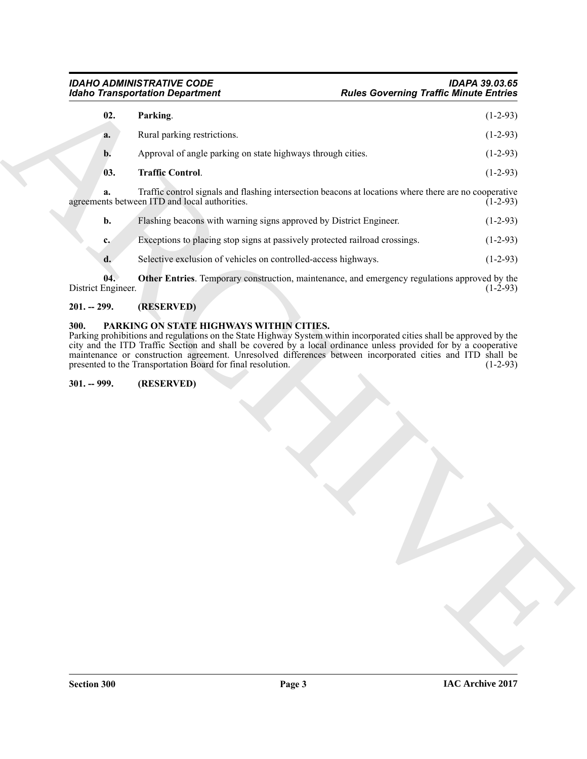<span id="page-2-6"></span><span id="page-2-5"></span>

|                           |                                                                             | <b>Rules Governing Traffic Minute Entries</b>                                                         |            |
|---------------------------|-----------------------------------------------------------------------------|-------------------------------------------------------------------------------------------------------|------------|
| 02.                       | Parking.                                                                    |                                                                                                       | $(1-2-93)$ |
| a.                        | Rural parking restrictions.                                                 |                                                                                                       | $(1-2-93)$ |
| b.                        | Approval of angle parking on state highways through cities.                 |                                                                                                       | $(1-2-93)$ |
| 03.                       | <b>Traffic Control.</b>                                                     |                                                                                                       | $(1-2-93)$ |
| a.                        | agreements between ITD and local authorities.                               | Traffic control signals and flashing intersection beacons at locations where there are no cooperative | $(1-2-93)$ |
| b.                        | Flashing beacons with warning signs approved by District Engineer.          |                                                                                                       | $(1-2-93)$ |
| c.                        | Exceptions to placing stop signs at passively protected railroad crossings. |                                                                                                       | $(1-2-93)$ |
| d.                        | Selective exclusion of vehicles on controlled-access highways.              |                                                                                                       | $(1-2-93)$ |
| 04.<br>District Engineer. |                                                                             | Other Entries. Temporary construction, maintenance, and emergency regulations approved by the         | $(1-2-93)$ |
| $201. - 299.$             | (RESERVED)                                                                  |                                                                                                       |            |
| $301. - 999.$             | presented to the Transportation Board for final resolution.<br>(RESERVED)   |                                                                                                       |            |
|                           |                                                                             |                                                                                                       |            |
|                           |                                                                             |                                                                                                       |            |
|                           |                                                                             |                                                                                                       |            |
|                           |                                                                             |                                                                                                       |            |
|                           |                                                                             |                                                                                                       |            |
|                           |                                                                             |                                                                                                       |            |
|                           |                                                                             |                                                                                                       |            |
|                           |                                                                             |                                                                                                       |            |
|                           |                                                                             |                                                                                                       |            |
|                           |                                                                             |                                                                                                       |            |
|                           |                                                                             |                                                                                                       |            |
|                           |                                                                             |                                                                                                       |            |

#### <span id="page-2-4"></span><span id="page-2-0"></span>**201. -- 299. (RESERVED)**

#### <span id="page-2-3"></span><span id="page-2-2"></span><span id="page-2-1"></span>**300. PARKING ON STATE HIGHWAYS WITHIN CITIES.**